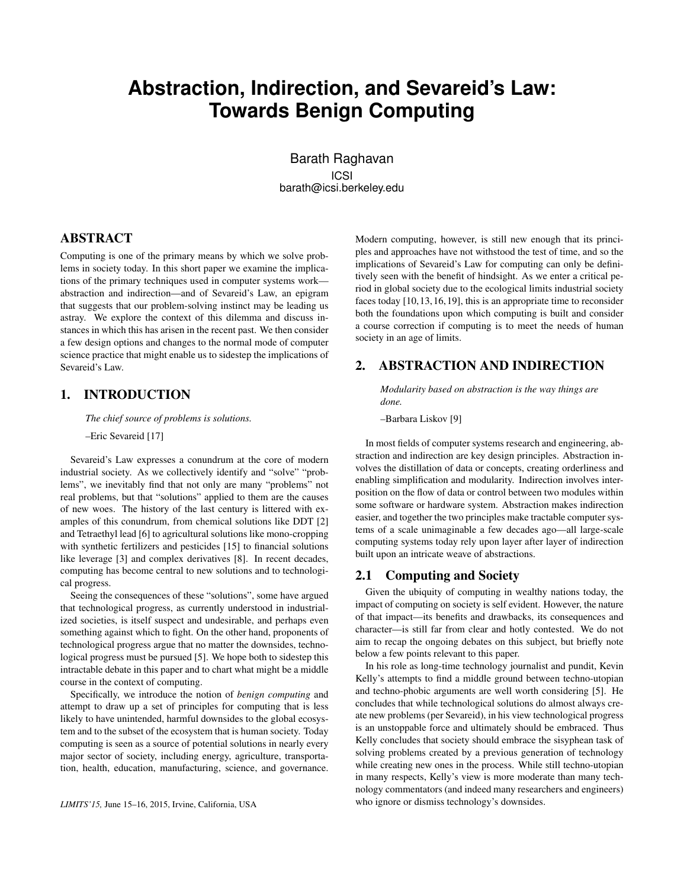# **Abstraction, Indirection, and Sevareid's Law: Towards Benign Computing**

Barath Raghavan ICSI barath@icsi.berkeley.edu

# ABSTRACT

Computing is one of the primary means by which we solve problems in society today. In this short paper we examine the implications of the primary techniques used in computer systems work abstraction and indirection—and of Sevareid's Law, an epigram that suggests that our problem-solving instinct may be leading us astray. We explore the context of this dilemma and discuss instances in which this has arisen in the recent past. We then consider a few design options and changes to the normal mode of computer science practice that might enable us to sidestep the implications of Sevareid's Law.

# 1. INTRODUCTION

*The chief source of problems is solutions.*

–Eric Sevareid [17]

Sevareid's Law expresses a conundrum at the core of modern industrial society. As we collectively identify and "solve" "problems", we inevitably find that not only are many "problems" not real problems, but that "solutions" applied to them are the causes of new woes. The history of the last century is littered with examples of this conundrum, from chemical solutions like DDT [2] and Tetraethyl lead [6] to agricultural solutions like mono-cropping with synthetic fertilizers and pesticides [15] to financial solutions like leverage [3] and complex derivatives [8]. In recent decades, computing has become central to new solutions and to technological progress.

Seeing the consequences of these "solutions", some have argued that technological progress, as currently understood in industrialized societies, is itself suspect and undesirable, and perhaps even something against which to fight. On the other hand, proponents of technological progress argue that no matter the downsides, technological progress must be pursued [5]. We hope both to sidestep this intractable debate in this paper and to chart what might be a middle course in the context of computing.

Specifically, we introduce the notion of *benign computing* and attempt to draw up a set of principles for computing that is less likely to have unintended, harmful downsides to the global ecosystem and to the subset of the ecosystem that is human society. Today computing is seen as a source of potential solutions in nearly every major sector of society, including energy, agriculture, transportation, health, education, manufacturing, science, and governance.

Modern computing, however, is still new enough that its principles and approaches have not withstood the test of time, and so the implications of Sevareid's Law for computing can only be definitively seen with the benefit of hindsight. As we enter a critical period in global society due to the ecological limits industrial society faces today [10, 13, 16, 19], this is an appropriate time to reconsider both the foundations upon which computing is built and consider a course correction if computing is to meet the needs of human society in an age of limits.

# 2. ABSTRACTION AND INDIRECTION

*Modularity based on abstraction is the way things are done.*

–Barbara Liskov [9]

In most fields of computer systems research and engineering, abstraction and indirection are key design principles. Abstraction involves the distillation of data or concepts, creating orderliness and enabling simplification and modularity. Indirection involves interposition on the flow of data or control between two modules within some software or hardware system. Abstraction makes indirection easier, and together the two principles make tractable computer systems of a scale unimaginable a few decades ago—all large-scale computing systems today rely upon layer after layer of indirection built upon an intricate weave of abstractions.

#### 2.1 Computing and Society

Given the ubiquity of computing in wealthy nations today, the impact of computing on society is self evident. However, the nature of that impact—its benefits and drawbacks, its consequences and character—is still far from clear and hotly contested. We do not aim to recap the ongoing debates on this subject, but briefly note below a few points relevant to this paper.

In his role as long-time technology journalist and pundit, Kevin Kelly's attempts to find a middle ground between techno-utopian and techno-phobic arguments are well worth considering [5]. He concludes that while technological solutions do almost always create new problems (per Sevareid), in his view technological progress is an unstoppable force and ultimately should be embraced. Thus Kelly concludes that society should embrace the sisyphean task of solving problems created by a previous generation of technology while creating new ones in the process. While still techno-utopian in many respects, Kelly's view is more moderate than many technology commentators (and indeed many researchers and engineers) who ignore or dismiss technology's downsides.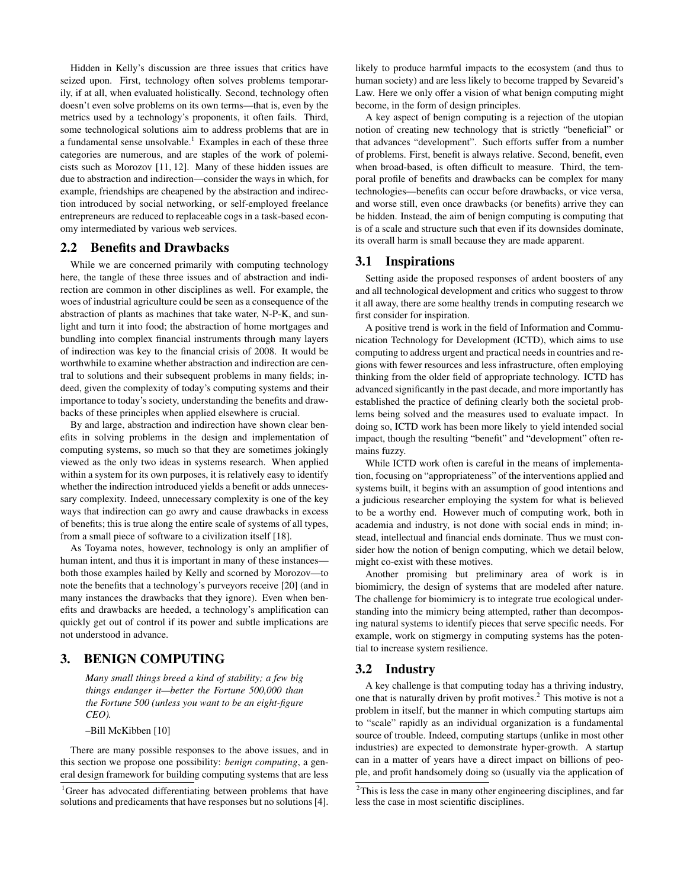Hidden in Kelly's discussion are three issues that critics have seized upon. First, technology often solves problems temporarily, if at all, when evaluated holistically. Second, technology often doesn't even solve problems on its own terms—that is, even by the metrics used by a technology's proponents, it often fails. Third, some technological solutions aim to address problems that are in a fundamental sense unsolvable. $<sup>1</sup>$  Examples in each of these three</sup> categories are numerous, and are staples of the work of polemicists such as Morozov [11, 12]. Many of these hidden issues are due to abstraction and indirection—consider the ways in which, for example, friendships are cheapened by the abstraction and indirection introduced by social networking, or self-employed freelance entrepreneurs are reduced to replaceable cogs in a task-based economy intermediated by various web services.

#### 2.2 Benefits and Drawbacks

While we are concerned primarily with computing technology here, the tangle of these three issues and of abstraction and indirection are common in other disciplines as well. For example, the woes of industrial agriculture could be seen as a consequence of the abstraction of plants as machines that take water, N-P-K, and sunlight and turn it into food; the abstraction of home mortgages and bundling into complex financial instruments through many layers of indirection was key to the financial crisis of 2008. It would be worthwhile to examine whether abstraction and indirection are central to solutions and their subsequent problems in many fields; indeed, given the complexity of today's computing systems and their importance to today's society, understanding the benefits and drawbacks of these principles when applied elsewhere is crucial.

By and large, abstraction and indirection have shown clear benefits in solving problems in the design and implementation of computing systems, so much so that they are sometimes jokingly viewed as the only two ideas in systems research. When applied within a system for its own purposes, it is relatively easy to identify whether the indirection introduced yields a benefit or adds unnecessary complexity. Indeed, unnecessary complexity is one of the key ways that indirection can go awry and cause drawbacks in excess of benefits; this is true along the entire scale of systems of all types, from a small piece of software to a civilization itself [18].

As Toyama notes, however, technology is only an amplifier of human intent, and thus it is important in many of these instances both those examples hailed by Kelly and scorned by Morozov—to note the benefits that a technology's purveyors receive [20] (and in many instances the drawbacks that they ignore). Even when benefits and drawbacks are heeded, a technology's amplification can quickly get out of control if its power and subtle implications are not understood in advance.

## 3. BENIGN COMPUTING

*Many small things breed a kind of stability; a few big things endanger it—better the Fortune 500,000 than the Fortune 500 (unless you want to be an eight-figure CEO).*

–Bill McKibben [10]

There are many possible responses to the above issues, and in this section we propose one possibility: *benign computing*, a general design framework for building computing systems that are less likely to produce harmful impacts to the ecosystem (and thus to human society) and are less likely to become trapped by Sevareid's Law. Here we only offer a vision of what benign computing might become, in the form of design principles.

A key aspect of benign computing is a rejection of the utopian notion of creating new technology that is strictly "beneficial" or that advances "development". Such efforts suffer from a number of problems. First, benefit is always relative. Second, benefit, even when broad-based, is often difficult to measure. Third, the temporal profile of benefits and drawbacks can be complex for many technologies—benefits can occur before drawbacks, or vice versa, and worse still, even once drawbacks (or benefits) arrive they can be hidden. Instead, the aim of benign computing is computing that is of a scale and structure such that even if its downsides dominate, its overall harm is small because they are made apparent.

### 3.1 Inspirations

Setting aside the proposed responses of ardent boosters of any and all technological development and critics who suggest to throw it all away, there are some healthy trends in computing research we first consider for inspiration.

A positive trend is work in the field of Information and Communication Technology for Development (ICTD), which aims to use computing to address urgent and practical needs in countries and regions with fewer resources and less infrastructure, often employing thinking from the older field of appropriate technology. ICTD has advanced significantly in the past decade, and more importantly has established the practice of defining clearly both the societal problems being solved and the measures used to evaluate impact. In doing so, ICTD work has been more likely to yield intended social impact, though the resulting "benefit" and "development" often remains fuzzy.

While ICTD work often is careful in the means of implementation, focusing on "appropriateness" of the interventions applied and systems built, it begins with an assumption of good intentions and a judicious researcher employing the system for what is believed to be a worthy end. However much of computing work, both in academia and industry, is not done with social ends in mind; instead, intellectual and financial ends dominate. Thus we must consider how the notion of benign computing, which we detail below, might co-exist with these motives.

Another promising but preliminary area of work is in biomimicry, the design of systems that are modeled after nature. The challenge for biomimicry is to integrate true ecological understanding into the mimicry being attempted, rather than decomposing natural systems to identify pieces that serve specific needs. For example, work on stigmergy in computing systems has the potential to increase system resilience.

#### 3.2 Industry

A key challenge is that computing today has a thriving industry, one that is naturally driven by profit motives.<sup>2</sup> This motive is not a problem in itself, but the manner in which computing startups aim to "scale" rapidly as an individual organization is a fundamental source of trouble. Indeed, computing startups (unlike in most other industries) are expected to demonstrate hyper-growth. A startup can in a matter of years have a direct impact on billions of people, and profit handsomely doing so (usually via the application of

<sup>&</sup>lt;sup>1</sup>Greer has advocated differentiating between problems that have solutions and predicaments that have responses but no solutions [4].

<sup>&</sup>lt;sup>2</sup>This is less the case in many other engineering disciplines, and far less the case in most scientific disciplines.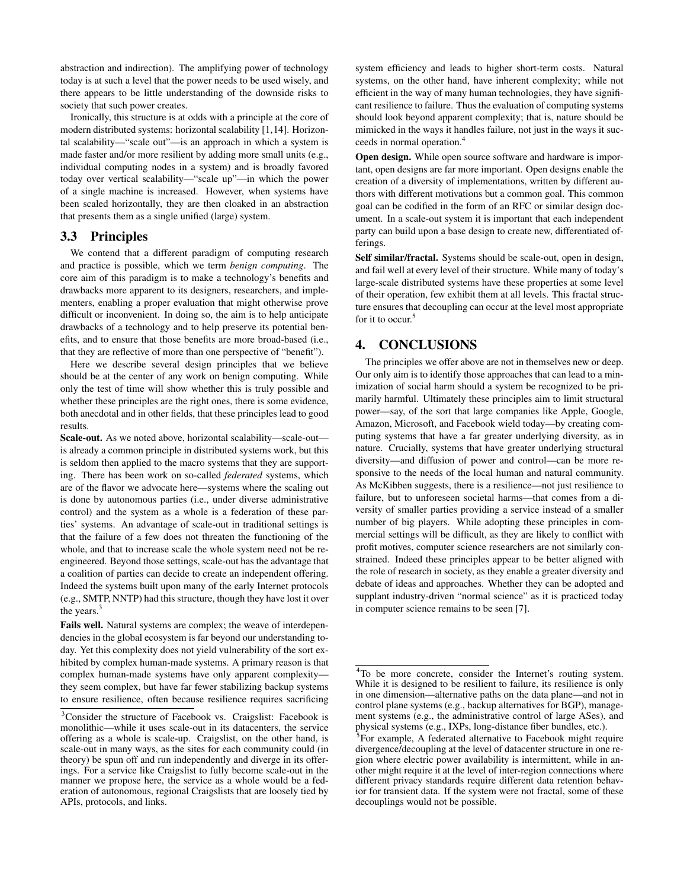abstraction and indirection). The amplifying power of technology today is at such a level that the power needs to be used wisely, and there appears to be little understanding of the downside risks to society that such power creates.

Ironically, this structure is at odds with a principle at the core of modern distributed systems: horizontal scalability [1,14]. Horizontal scalability—"scale out"—is an approach in which a system is made faster and/or more resilient by adding more small units (e.g., individual computing nodes in a system) and is broadly favored today over vertical scalability—"scale up"—in which the power of a single machine is increased. However, when systems have been scaled horizontally, they are then cloaked in an abstraction that presents them as a single unified (large) system.

#### 3.3 Principles

We contend that a different paradigm of computing research and practice is possible, which we term *benign computing*. The core aim of this paradigm is to make a technology's benefits and drawbacks more apparent to its designers, researchers, and implementers, enabling a proper evaluation that might otherwise prove difficult or inconvenient. In doing so, the aim is to help anticipate drawbacks of a technology and to help preserve its potential benefits, and to ensure that those benefits are more broad-based (i.e., that they are reflective of more than one perspective of "benefit").

Here we describe several design principles that we believe should be at the center of any work on benign computing. While only the test of time will show whether this is truly possible and whether these principles are the right ones, there is some evidence, both anecdotal and in other fields, that these principles lead to good results.

Scale-out. As we noted above, horizontal scalability—scale-out is already a common principle in distributed systems work, but this is seldom then applied to the macro systems that they are supporting. There has been work on so-called *federated* systems, which are of the flavor we advocate here—systems where the scaling out is done by autonomous parties (i.e., under diverse administrative control) and the system as a whole is a federation of these parties' systems. An advantage of scale-out in traditional settings is that the failure of a few does not threaten the functioning of the whole, and that to increase scale the whole system need not be reengineered. Beyond those settings, scale-out has the advantage that a coalition of parties can decide to create an independent offering. Indeed the systems built upon many of the early Internet protocols (e.g., SMTP, NNTP) had this structure, though they have lost it over the years.<sup>3</sup>

Fails well. Natural systems are complex; the weave of interdependencies in the global ecosystem is far beyond our understanding today. Yet this complexity does not yield vulnerability of the sort exhibited by complex human-made systems. A primary reason is that complex human-made systems have only apparent complexity they seem complex, but have far fewer stabilizing backup systems to ensure resilience, often because resilience requires sacrificing system efficiency and leads to higher short-term costs. Natural systems, on the other hand, have inherent complexity; while not efficient in the way of many human technologies, they have significant resilience to failure. Thus the evaluation of computing systems should look beyond apparent complexity; that is, nature should be mimicked in the ways it handles failure, not just in the ways it succeeds in normal operation.<sup>4</sup>

Open design. While open source software and hardware is important, open designs are far more important. Open designs enable the creation of a diversity of implementations, written by different authors with different motivations but a common goal. This common goal can be codified in the form of an RFC or similar design document. In a scale-out system it is important that each independent party can build upon a base design to create new, differentiated offerings.

Self similar/fractal. Systems should be scale-out, open in design, and fail well at every level of their structure. While many of today's large-scale distributed systems have these properties at some level of their operation, few exhibit them at all levels. This fractal structure ensures that decoupling can occur at the level most appropriate for it to occur.<sup>5</sup>

# 4. CONCLUSIONS

The principles we offer above are not in themselves new or deep. Our only aim is to identify those approaches that can lead to a minimization of social harm should a system be recognized to be primarily harmful. Ultimately these principles aim to limit structural power—say, of the sort that large companies like Apple, Google, Amazon, Microsoft, and Facebook wield today—by creating computing systems that have a far greater underlying diversity, as in nature. Crucially, systems that have greater underlying structural diversity—and diffusion of power and control—can be more responsive to the needs of the local human and natural community. As McKibben suggests, there is a resilience—not just resilience to failure, but to unforeseen societal harms—that comes from a diversity of smaller parties providing a service instead of a smaller number of big players. While adopting these principles in commercial settings will be difficult, as they are likely to conflict with profit motives, computer science researchers are not similarly constrained. Indeed these principles appear to be better aligned with the role of research in society, as they enable a greater diversity and debate of ideas and approaches. Whether they can be adopted and supplant industry-driven "normal science" as it is practiced today in computer science remains to be seen [7].

<sup>3</sup>Consider the structure of Facebook vs. Craigslist: Facebook is monolithic—while it uses scale-out in its datacenters, the service offering as a whole is scale-up. Craigslist, on the other hand, is scale-out in many ways, as the sites for each community could (in theory) be spun off and run independently and diverge in its offerings. For a service like Craigslist to fully become scale-out in the manner we propose here, the service as a whole would be a federation of autonomous, regional Craigslists that are loosely tied by APIs, protocols, and links.

<sup>4</sup>To be more concrete, consider the Internet's routing system. While it is designed to be resilient to failure, its resilience is only in one dimension—alternative paths on the data plane—and not in control plane systems (e.g., backup alternatives for BGP), management systems (e.g., the administrative control of large ASes), and physical systems (e.g., IXPs, long-distance fiber bundles, etc.).

<sup>&</sup>lt;sup>5</sup>For example, A federated alternative to Facebook might require divergence/decoupling at the level of datacenter structure in one region where electric power availability is intermittent, while in another might require it at the level of inter-region connections where different privacy standards require different data retention behavior for transient data. If the system were not fractal, some of these decouplings would not be possible.